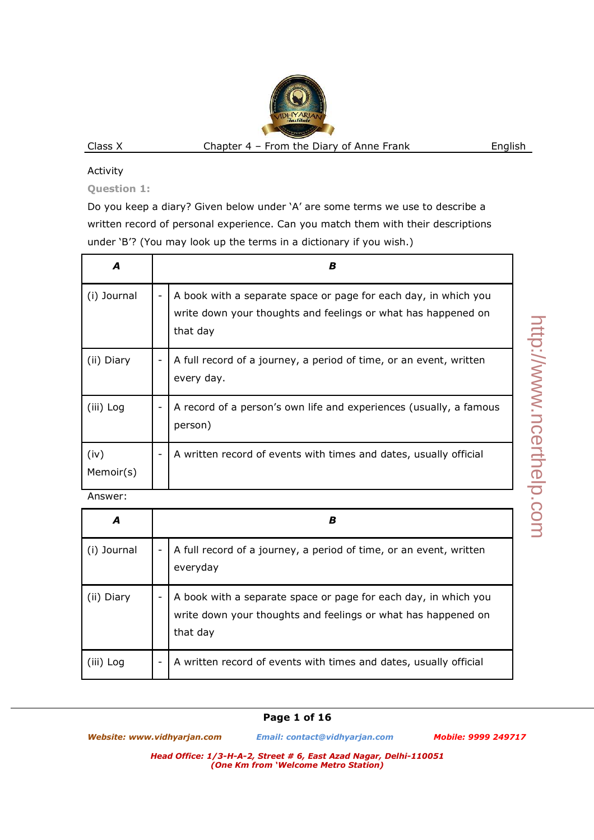### Activity

**Question 1:** 

Do you keep a diary? Given below under 'A' are some terms we use to describe a written record of personal experience. Can you match them with their descriptions under 'B'? (You may look up the terms in a dictionary if you wish.)

| A                 | В                                                                                                                                            |
|-------------------|----------------------------------------------------------------------------------------------------------------------------------------------|
| (i) Journal       | A book with a separate space or page for each day, in which you<br>write down your thoughts and feelings or what has happened on<br>that day |
| (ii) Diary        | A full record of a journey, a period of time, or an event, written<br>every day.                                                             |
| (iii) Log         | A record of a person's own life and experiences (usually, a famous<br>person)                                                                |
| (iv)<br>Memoir(s) | A written record of events with times and dates, usually official                                                                            |

Answer:

| A           | в |                                                                                                                                              |  |
|-------------|---|----------------------------------------------------------------------------------------------------------------------------------------------|--|
| (i) Journal |   | A full record of a journey, a period of time, or an event, written<br>everyday                                                               |  |
| (ii) Diary  |   | A book with a separate space or page for each day, in which you<br>write down your thoughts and feelings or what has happened on<br>that day |  |
| (III) Log   | ۰ | A written record of events with times and dates, usually official                                                                            |  |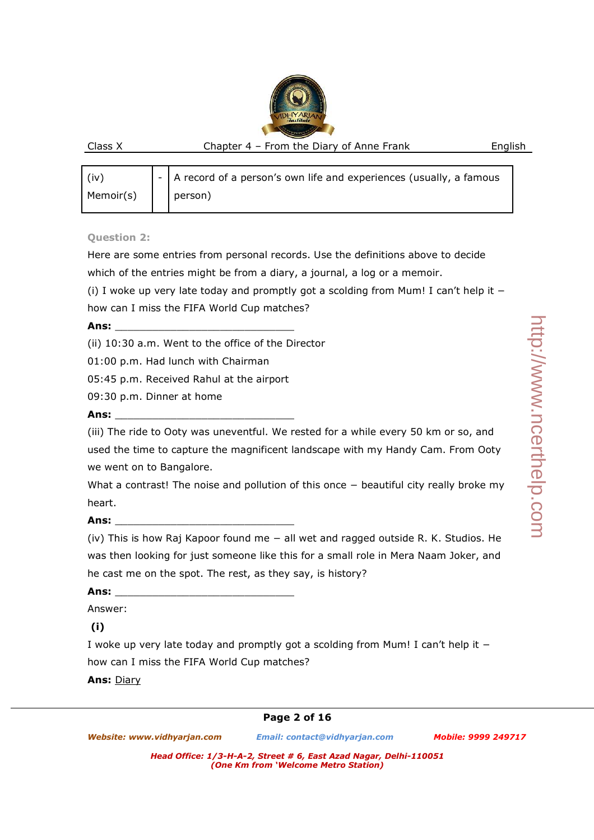| (iv)      | $\vert$ - $\vert$ A record of a person's own life and experiences (usually, a famous |
|-----------|--------------------------------------------------------------------------------------|
| Memoir(s) | person)                                                                              |

### **Question 2:**

Here are some entries from personal records. Use the definitions above to decide

which of the entries might be from a diary, a journal, a log or a memoir.

(i) I woke up very late today and promptly got a scolding from Mum! I can't help it − how can I miss the FIFA World Cup matches?

### **Ans:** \_\_\_\_\_\_\_\_\_\_\_\_\_\_\_\_\_\_\_\_\_\_\_\_\_\_\_\_\_

(ii) 10:30 a.m. Went to the office of the Director

01:00 p.m. Had lunch with Chairman

05:45 p.m. Received Rahul at the airport

09:30 p.m. Dinner at home

### **Ans:** \_\_\_\_\_\_\_\_\_\_\_\_\_\_\_\_\_\_\_\_\_\_\_\_\_\_\_\_\_

(iii) The ride to Ooty was uneventful. We rested for a while every 50 km or so, and used the time to capture the magnificent landscape with my Handy Cam. From Ooty we went on to Bangalore.

What a contrast! The noise and pollution of this once – beautiful city really broke my heart.

### **Ans:** \_\_\_\_\_\_\_\_\_\_\_\_\_\_\_\_\_\_\_\_\_\_\_\_\_\_\_\_\_

(iv) This is how Raj Kapoor found me − all wet and ragged outside R. K. Studios. He was then looking for just someone like this for a small role in Mera Naam Joker, and he cast me on the spot. The rest, as they say, is history?

**Ans:** \_\_\_\_\_\_\_\_\_\_\_\_\_\_\_\_\_\_\_\_\_\_\_\_\_\_\_\_\_

Answer:

# **(i)**

I woke up very late today and promptly got a scolding from Mum! I can't help it − how can I miss the FIFA World Cup matches?

### **Ans:** Diary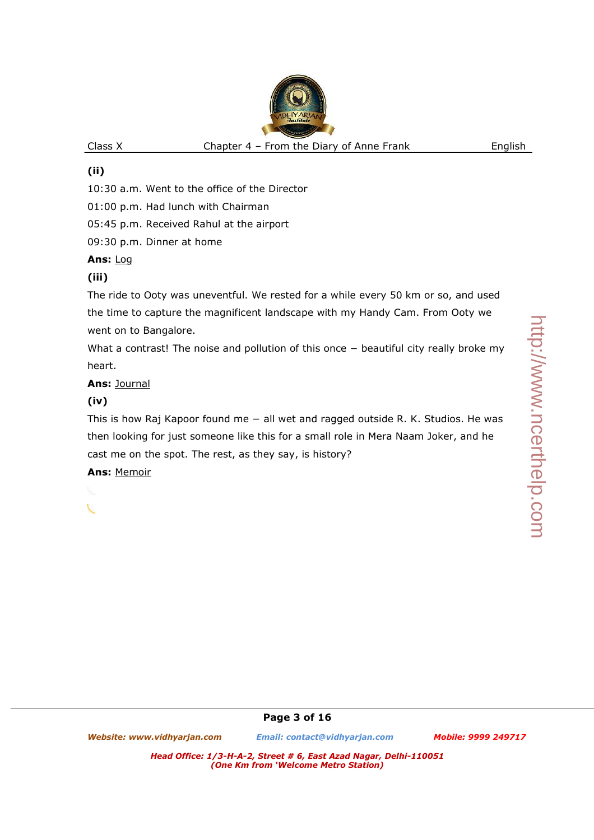# **(ii)**

10:30 a.m. Went to the office of the Director

01:00 p.m. Had lunch with Chairman

05:45 p.m. Received Rahul at the airport

09:30 p.m. Dinner at home

# **Ans:** Log

# **(iii)**

The ride to Ooty was uneventful. We rested for a while every 50 km or so, and used the time to capture the magnificent landscape with my Handy Cam. From Ooty we went on to Bangalore.

What a contrast! The noise and pollution of this once – beautiful city really broke my heart.

# **Ans:** Journal

# **(iv)**

This is how Raj Kapoor found me − all wet and ragged outside R. K. Studios. He was then looking for just someone like this for a small role in Mera Naam Joker, and he cast me on the spot. The rest, as they say, is history?

**Ans:** Memoir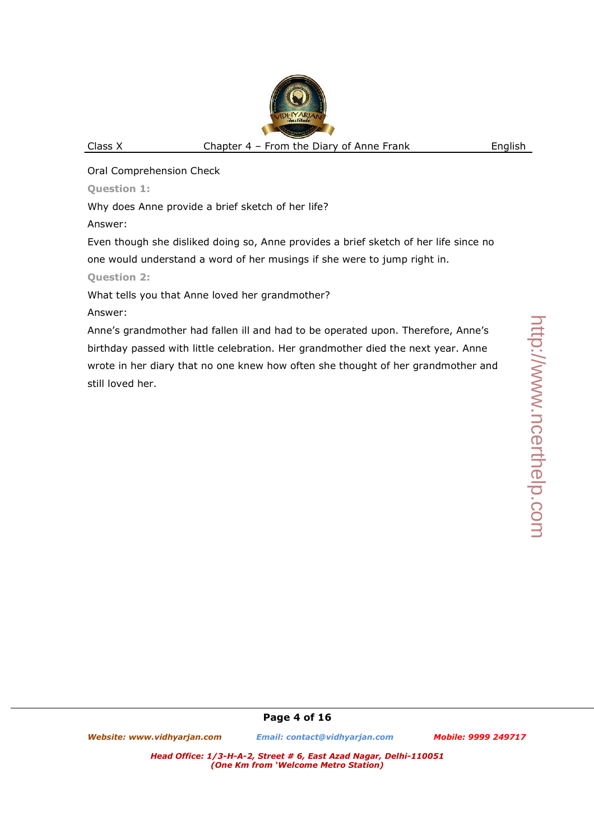Oral Comprehension Check

**Question 1:** 

Why does Anne provide a brief sketch of her life?

Answer:

Even though she disliked doing so, Anne provides a brief sketch of her life since no one would understand a word of her musings if she were to jump right in.

**Question 2:** 

What tells you that Anne loved her grandmother?

Answer:

Anne's grandmother had fallen ill and had to be operated upon. Therefore, Anne's birthday passed with little celebration. Her grandmother died the next year. Anne wrote in her diary that no one knew how often she thought of her grandmother and still loved her.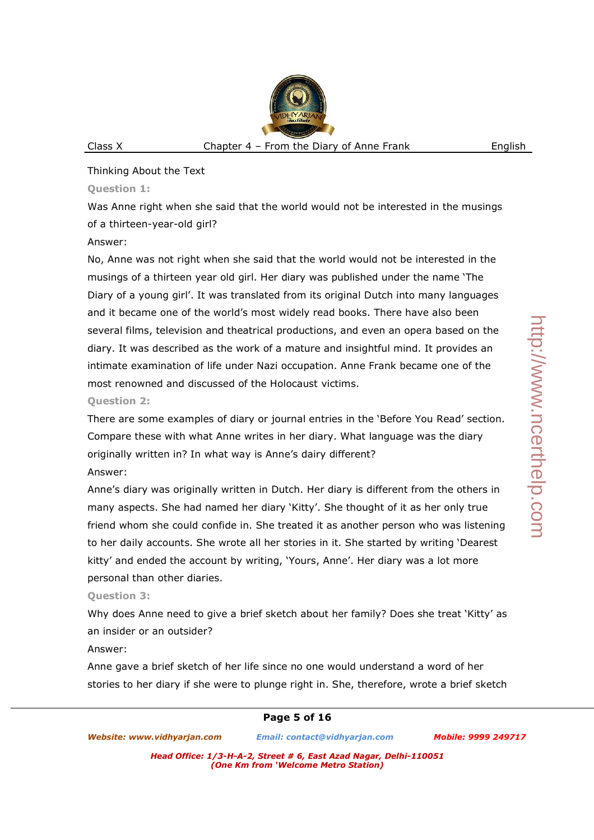### Thinking About the Text

### **Question 1:**

Was Anne right when she said that the world would not be interested in the musings of a thirteen-year-old girl?

### Answer:

No, Anne was not right when she said that the world would not be interested in the musings of a thirteen year old girl. Her diary was published under the name 'The Diary of a young girl'. It was translated from its original Dutch into many languages and it became one of the world's most widely read books. There have also been several films, television and theatrical productions, and even an opera based on the diary. It was described as the work of a mature and insightful mind. It provides an intimate examination of life under Nazi occupation. Anne Frank became one of the most renowned and discussed of the Holocaust victims.

# **Question 2:**

There are some examples of diary or journal entries in the 'Before You Read' section. Compare these with what Anne writes in her diary. What language was the diary originally written in? In what way is Anne's dairy different?

### Answer:

Anne's diary was originally written in Dutch. Her diary is different from the others in many aspects. She had named her diary 'Kitty'. She thought of it as her only true friend whom she could confide in. She treated it as another person who was listening to her daily accounts. She wrote all her stories in it. She started by writing 'Dearest kitty' and ended the account by writing, 'Yours, Anne'. Her diary was a lot more personal than other diaries.

# **Question 3:**

Why does Anne need to give a brief sketch about her family? Does she treat 'Kitty' as an insider or an outsider?

### Answer:

Anne gave a brief sketch of her life since no one would understand a word of her stories to her diary if she were to plunge right in. She, therefore, wrote a brief sketch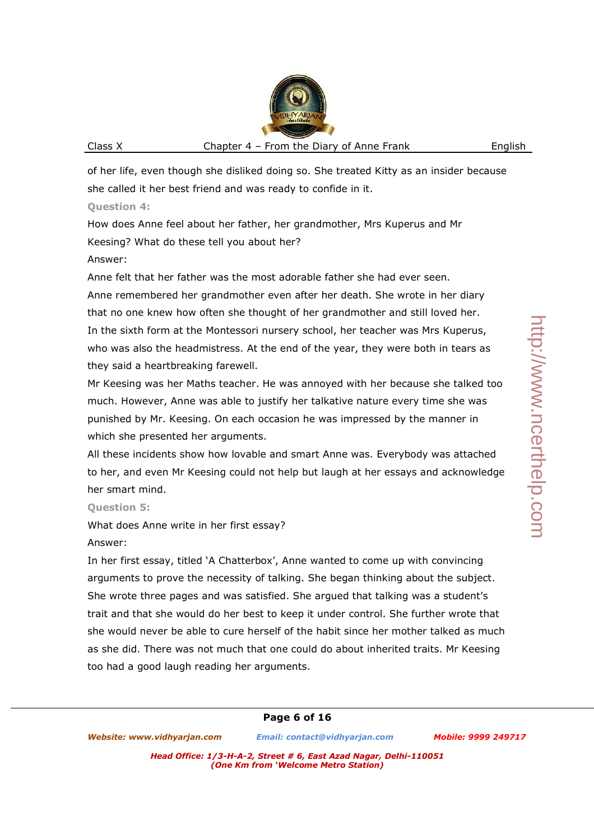of her life, even though she disliked doing so. She treated Kitty as an insider because she called it her best friend and was ready to confide in it.

### **Question 4:**

How does Anne feel about her father, her grandmother, Mrs Kuperus and Mr Keesing? What do these tell you about her?

# Answer:

Anne felt that her father was the most adorable father she had ever seen. Anne remembered her grandmother even after her death. She wrote in her diary that no one knew how often she thought of her grandmother and still loved her. In the sixth form at the Montessori nursery school, her teacher was Mrs Kuperus, who was also the headmistress. At the end of the year, they were both in tears as they said a heartbreaking farewell.

Mr Keesing was her Maths teacher. He was annoyed with her because she talked too much. However, Anne was able to justify her talkative nature every time she was punished by Mr. Keesing. On each occasion he was impressed by the manner in which she presented her arguments.

All these incidents show how lovable and smart Anne was. Everybody was attached to her, and even Mr Keesing could not help but laugh at her essays and acknowledge her smart mind.

# **Question 5:**

What does Anne write in her first essay?

# Answer:

In her first essay, titled 'A Chatterbox', Anne wanted to come up with convincing arguments to prove the necessity of talking. She began thinking about the subject. She wrote three pages and was satisfied. She argued that talking was a student's trait and that she would do her best to keep it under control. She further wrote that she would never be able to cure herself of the habit since her mother talked as much as she did. There was not much that one could do about inherited traits. Mr Keesing too had a good laugh reading her arguments.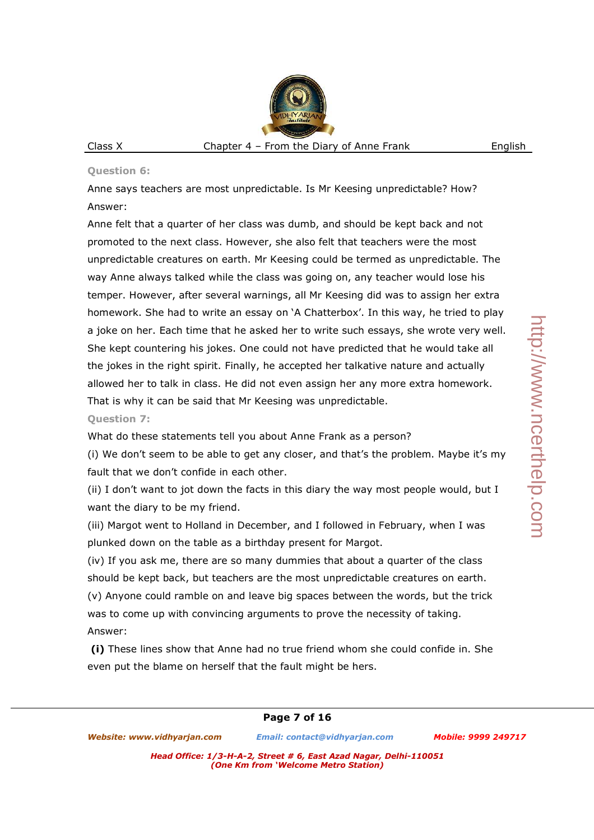### **Question 6:**

Anne says teachers are most unpredictable. Is Mr Keesing unpredictable? How? Answer:

Anne felt that a quarter of her class was dumb, and should be kept back and not promoted to the next class. However, she also felt that teachers were the most unpredictable creatures on earth. Mr Keesing could be termed as unpredictable. The way Anne always talked while the class was going on, any teacher would lose his temper. However, after several warnings, all Mr Keesing did was to assign her extra homework. She had to write an essay on 'A Chatterbox'. In this way, he tried to play a joke on her. Each time that he asked her to write such essays, she wrote very well. She kept countering his jokes. One could not have predicted that he would take all the jokes in the right spirit. Finally, he accepted her talkative nature and actually allowed her to talk in class. He did not even assign her any more extra homework. That is why it can be said that Mr Keesing was unpredictable.

### **Question 7:**

What do these statements tell you about Anne Frank as a person?

(i) We don't seem to be able to get any closer, and that's the problem. Maybe it's my fault that we don't confide in each other.

(ii) I don't want to jot down the facts in this diary the way most people would, but I want the diary to be my friend.

(iii) Margot went to Holland in December, and I followed in February, when I was plunked down on the table as a birthday present for Margot.

(iv) If you ask me, there are so many dummies that about a quarter of the class should be kept back, but teachers are the most unpredictable creatures on earth.

(v) Anyone could ramble on and leave big spaces between the words, but the trick was to come up with convincing arguments to prove the necessity of taking. Answer:

 **(i)** These lines show that Anne had no true friend whom she could confide in. She even put the blame on herself that the fault might be hers.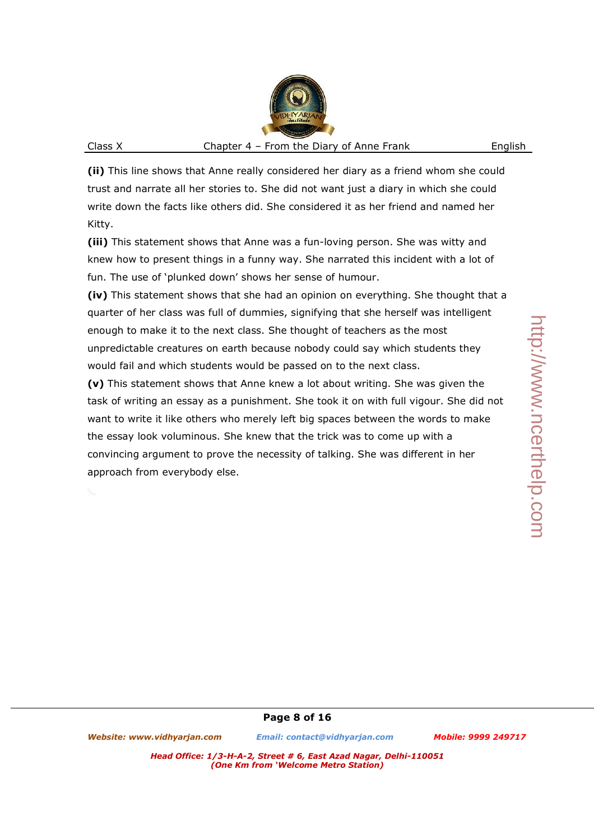**(ii)** This line shows that Anne really considered her diary as a friend whom she could trust and narrate all her stories to. She did not want just a diary in which she could write down the facts like others did. She considered it as her friend and named her Kitty.

**(iii)** This statement shows that Anne was a fun-loving person. She was witty and knew how to present things in a funny way. She narrated this incident with a lot of fun. The use of 'plunked down' shows her sense of humour.

**(iv)** This statement shows that she had an opinion on everything. She thought that a quarter of her class was full of dummies, signifying that she herself was intelligent enough to make it to the next class. She thought of teachers as the most unpredictable creatures on earth because nobody could say which students they would fail and which students would be passed on to the next class.

**(v)** This statement shows that Anne knew a lot about writing. She was given the task of writing an essay as a punishment. She took it on with full vigour. She did not want to write it like others who merely left big spaces between the words to make the essay look voluminous. She knew that the trick was to come up with a convincing argument to prove the necessity of talking. She was different in her approach from everybody else.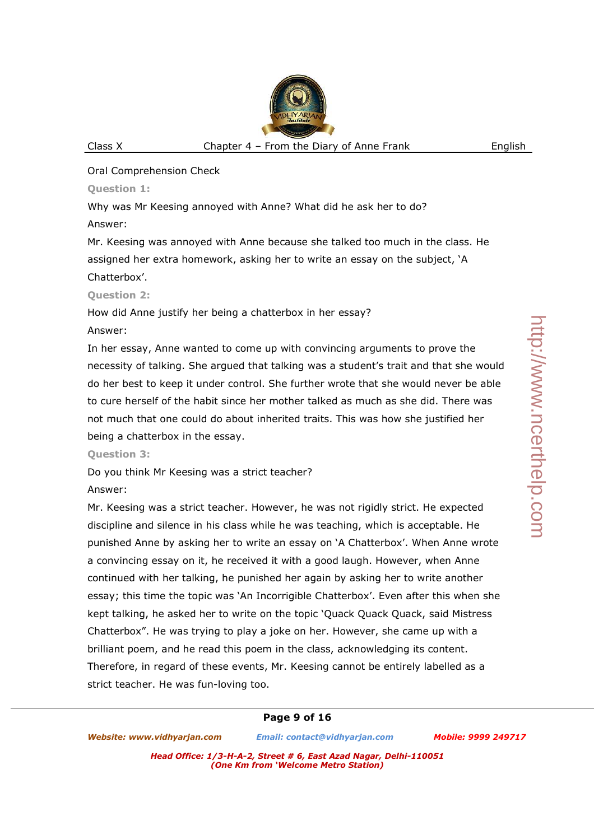# http://www.ncerthelp.com http://www.ncerthelp.com

Oral Comprehension Check

**Question 1:** 

Why was Mr Keesing annoyed with Anne? What did he ask her to do? Answer:

Mr. Keesing was annoyed with Anne because she talked too much in the class. He assigned her extra homework, asking her to write an essay on the subject, 'A Chatterbox'.

```
Question 2:
```
How did Anne justify her being a chatterbox in her essay?

# Answer:

In her essay, Anne wanted to come up with convincing arguments to prove the necessity of talking. She argued that talking was a student's trait and that she would do her best to keep it under control. She further wrote that she would never be able to cure herself of the habit since her mother talked as much as she did. There was not much that one could do about inherited traits. This was how she justified her being a chatterbox in the essay.

# **Question 3:**

Do you think Mr Keesing was a strict teacher?

# Answer:

Mr. Keesing was a strict teacher. However, he was not rigidly strict. He expected discipline and silence in his class while he was teaching, which is acceptable. He punished Anne by asking her to write an essay on 'A Chatterbox'. When Anne wrote a convincing essay on it, he received it with a good laugh. However, when Anne continued with her talking, he punished her again by asking her to write another essay; this time the topic was 'An Incorrigible Chatterbox'. Even after this when she kept talking, he asked her to write on the topic 'Quack Quack Quack, said Mistress Chatterbox". He was trying to play a joke on her. However, she came up with a brilliant poem, and he read this poem in the class, acknowledging its content. Therefore, in regard of these events, Mr. Keesing cannot be entirely labelled as a strict teacher. He was fun-loving too.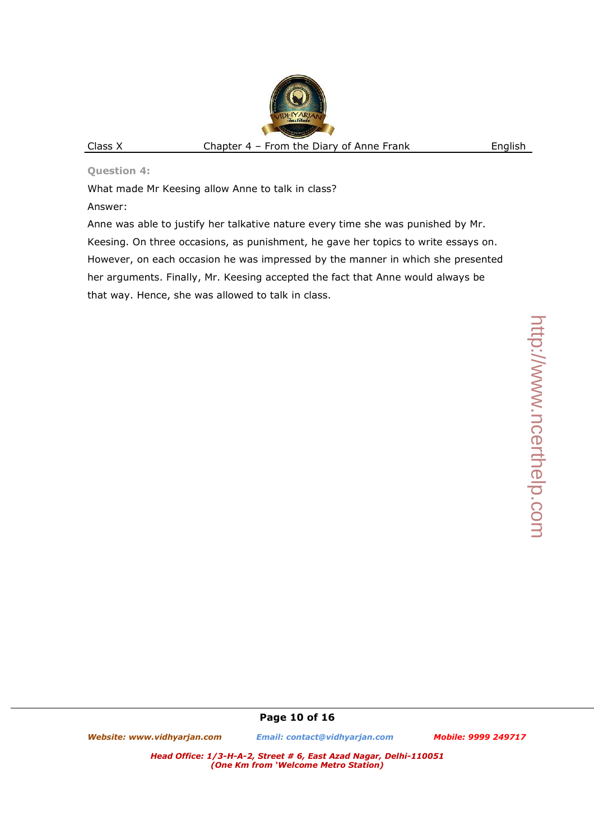**Question 4:** 

What made Mr Keesing allow Anne to talk in class?

Answer:

Anne was able to justify her talkative nature every time she was punished by Mr. Keesing. On three occasions, as punishment, he gave her topics to write essays on. However, on each occasion he was impressed by the manner in which she presented her arguments. Finally, Mr. Keesing accepted the fact that Anne would always be that way. Hence, she was allowed to talk in class.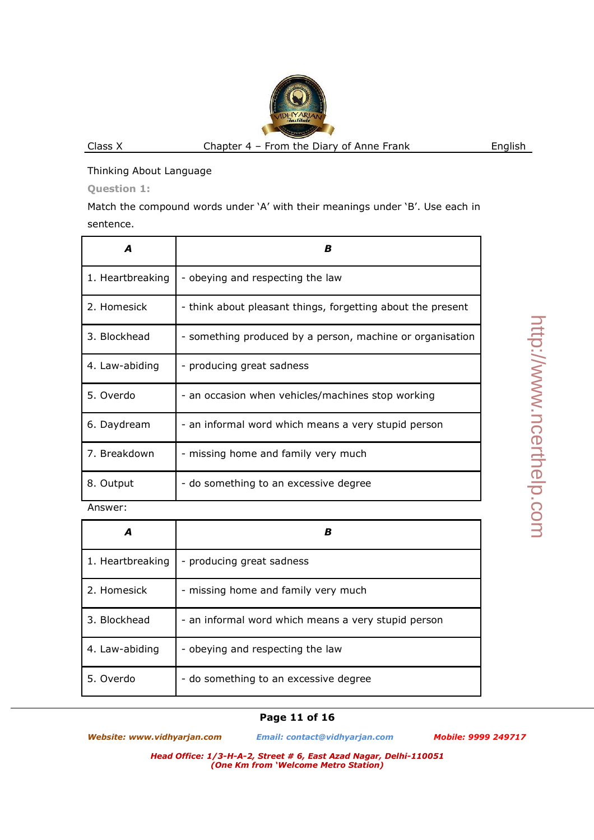http://www.ncerthelp.com http://www.ncerthelp.com

### Thinking About Language

**Question 1:** 

Match the compound words under 'A' with their meanings under 'B'. Use each in sentence.

| Δ                | B                                                           |
|------------------|-------------------------------------------------------------|
| 1. Heartbreaking | - obeying and respecting the law                            |
| 2. Homesick      | - think about pleasant things, forgetting about the present |
| 3. Blockhead     | - something produced by a person, machine or organisation   |
| 4. Law-abiding   | - producing great sadness                                   |
| 5. Overdo        | - an occasion when vehicles/machines stop working           |
| 6. Daydream      | - an informal word which means a very stupid person         |
| 7. Breakdown     | - missing home and family very much                         |
| 8. Output        | - do something to an excessive degree                       |
| Annunor:         |                                                             |

Answer:

|                  | B                                                   |
|------------------|-----------------------------------------------------|
| 1. Heartbreaking | - producing great sadness                           |
| 2. Homesick      | - missing home and family very much                 |
| 3. Blockhead     | - an informal word which means a very stupid person |
| 4. Law-abiding   | - obeying and respecting the law                    |
| 5. Overdo        | - do something to an excessive degree               |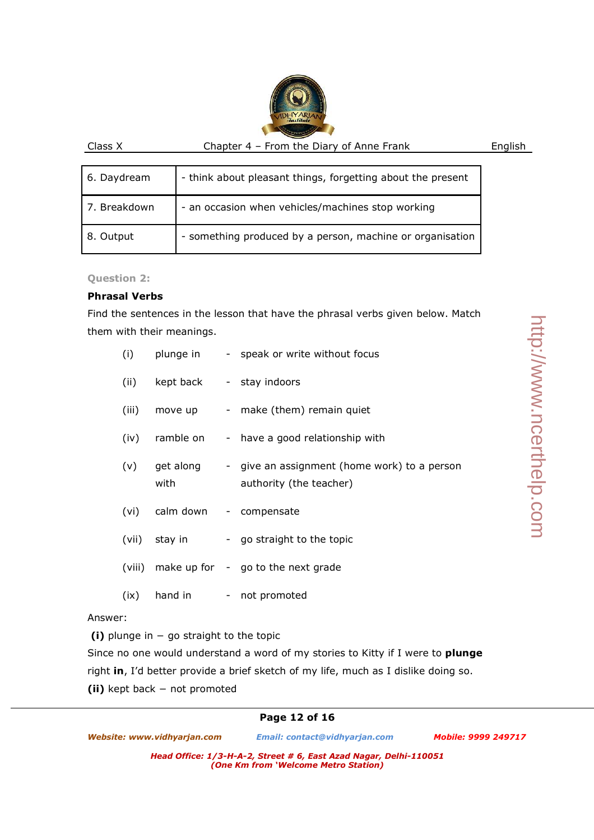| 6. Daydream  | - think about pleasant things, forgetting about the present |
|--------------|-------------------------------------------------------------|
| 7. Breakdown | - an occasion when vehicles/machines stop working           |
| 8. Output    | - something produced by a person, machine or organisation   |

**Question 2:** 

### **Phrasal Verbs**

Find the sentences in the lesson that have the phrasal verbs given below. Match them with their meanings.

| (i)   |                               | plunge in - speak or write without focus                                              |
|-------|-------------------------------|---------------------------------------------------------------------------------------|
|       | (ii) kept back - stay indoors |                                                                                       |
| (iii) |                               | move up - make (them) remain quiet                                                    |
| (iv)  |                               | ramble on - have a good relationship with                                             |
|       | with                          | (v) get along - give an assignment (home work) to a person<br>authority (the teacher) |
|       | (vi) calm down - compensate   |                                                                                       |
|       | (vii) stay in                 | - go straight to the topic                                                            |
|       |                               | (viii) make up for - go to the next grade                                             |
| (ix)  |                               | hand in - not promoted                                                                |

Answer:

 **(i)** plunge in − go straight to the topic

Since no one would understand a word of my stories to Kitty if I were to **plunge** right **in**, I'd better provide a brief sketch of my life, much as I dislike doing so.

**(ii)** kept back − not promoted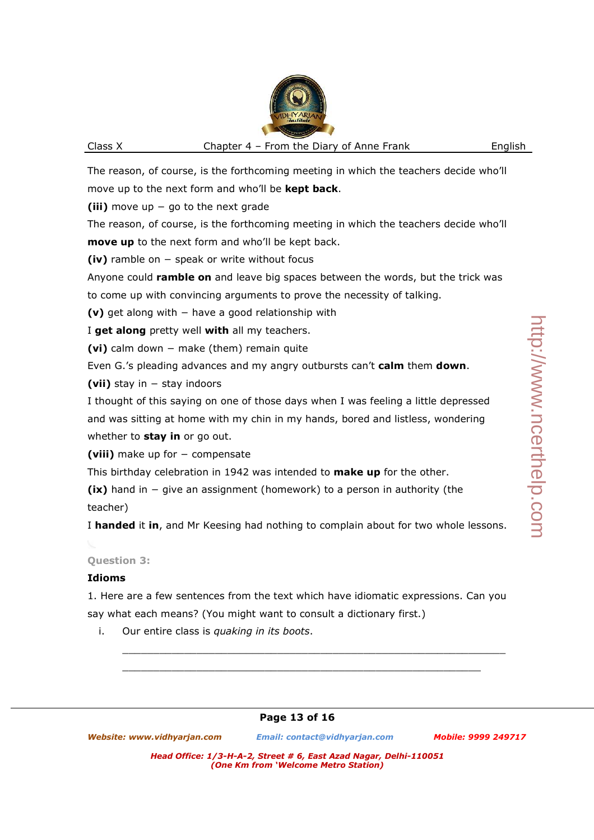The reason, of course, is the forthcoming meeting in which the teachers decide who'll move up to the next form and who'll be **kept back**.

**(iii)** move up − go to the next grade

The reason, of course, is the forthcoming meeting in which the teachers decide who'll **move up** to the next form and who'll be kept back.

**(iv)** ramble on − speak or write without focus

Anyone could **ramble on** and leave big spaces between the words, but the trick was to come up with convincing arguments to prove the necessity of talking.

**(v)** get along with − have a good relationship with

I **get along** pretty well **with** all my teachers.

**(vi)** calm down − make (them) remain quite

Even G.'s pleading advances and my angry outbursts can't **calm** them **down**.

**(vii)** stay in − stay indoors

I thought of this saying on one of those days when I was feeling a little depressed and was sitting at home with my chin in my hands, bored and listless, wondering whether to **stay in** or go out.

**(viii)** make up for − compensate

This birthday celebration in 1942 was intended to **make up** for the other.

**(ix)** hand in − give an assignment (homework) to a person in authority (the teacher)

I **handed** it **in**, and Mr Keesing had nothing to complain about for two whole lessons.

# **Question 3:**

### **Idioms**

1. Here are a few sentences from the text which have idiomatic expressions. Can you say what each means? (You might want to consult a dictionary first.)

 $\Box$ 

 $\Box$ 

i. Our entire class is *quaking in its boots*.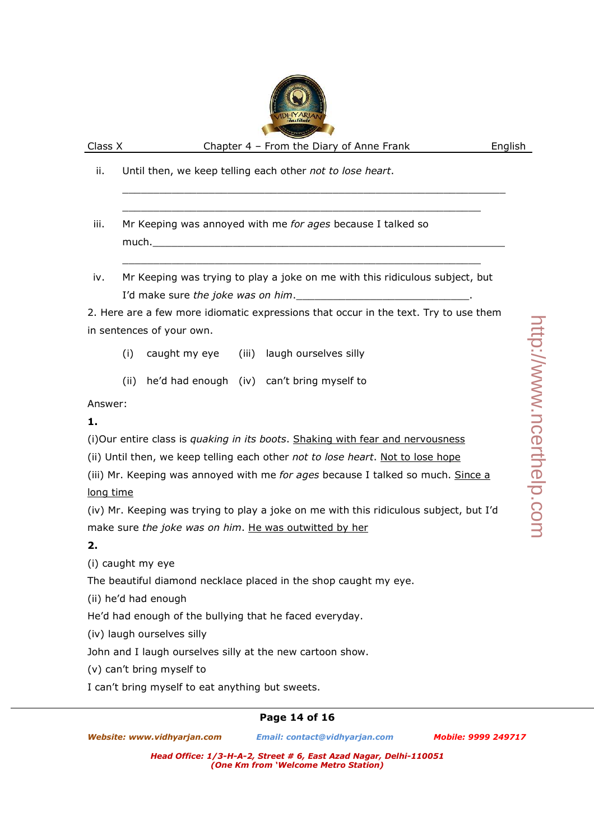iii. Mr Keeping was annoyed with me *for ages* because I talked so  $much.$ 

iv. Mr Keeping was trying to play a joke on me with this ridiculous subject, but I'd make sure *the joke was on him*.

 $\Box$ 

 $\Box$ 

 $\Box$ 

2. Here are a few more idiomatic expressions that occur in the text. Try to use them in sentences of your own.

(i) caught my eye (iii) laugh ourselves silly

(ii) he'd had enough (iv) can't bring myself to

Answer:

# **1.**

(i)Our entire class is *quaking in its boots*. Shaking with fear and nervousness

(ii) Until then, we keep telling each other *not to lose heart*. Not to lose hope

(iii) Mr. Keeping was annoyed with me *for ages* because I talked so much. Since a long time

(iv) Mr. Keeping was trying to play a joke on me with this ridiculous subject, but I'd make sure *the joke was on him*. He was outwitted by her

### **2.**

(i) caught my eye

The beautiful diamond necklace placed in the shop caught my eye.

(ii) he'd had enough

He'd had enough of the bullying that he faced everyday.

(iv) laugh ourselves silly

John and I laugh ourselves silly at the new cartoon show.

(v) can't bring myself to

I can't bring myself to eat anything but sweets.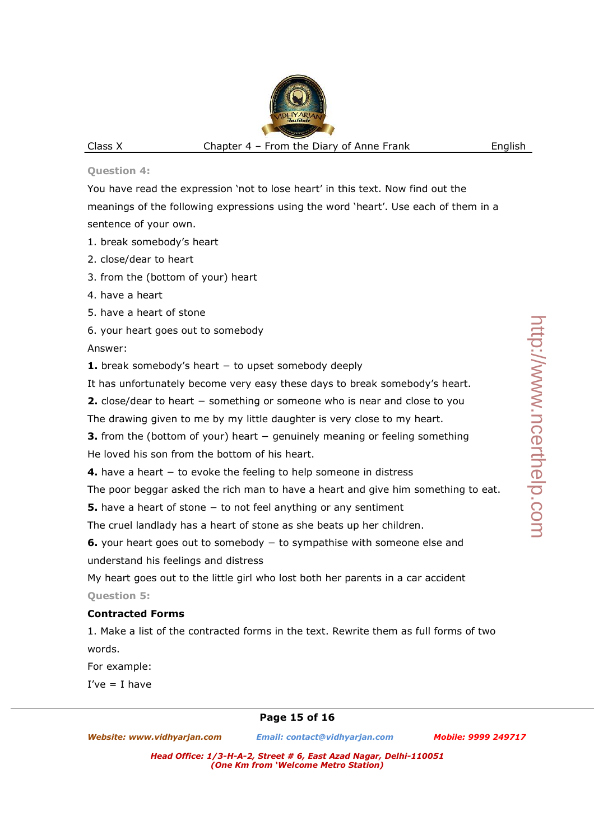### **Question 4:**

You have read the expression 'not to lose heart' in this text. Now find out the meanings of the following expressions using the word 'heart'. Use each of them in a sentence of your own.

- 1. break somebody's heart
- 2. close/dear to heart
- 3. from the (bottom of your) heart
- 4. have a heart
- 5. have a heart of stone
- 6. your heart goes out to somebody

Answer:

**1.** break somebody's heart − to upset somebody deeply

It has unfortunately become very easy these days to break somebody's heart.

**2.** close/dear to heart − something or someone who is near and close to you

The drawing given to me by my little daughter is very close to my heart.

**3.** from the (bottom of your) heart − genuinely meaning or feeling something He loved his son from the bottom of his heart.

**4.** have a heart − to evoke the feeling to help someone in distress

The poor beggar asked the rich man to have a heart and give him something to eat.

**5.** have a heart of stone − to not feel anything or any sentiment

The cruel landlady has a heart of stone as she beats up her children.

**6.** your heart goes out to somebody − to sympathise with someone else and understand his feelings and distress

My heart goes out to the little girl who lost both her parents in a car accident **Question 5:** 

# **Contracted Forms**

1. Make a list of the contracted forms in the text. Rewrite them as full forms of two words.

For example:

 $I've = I have$